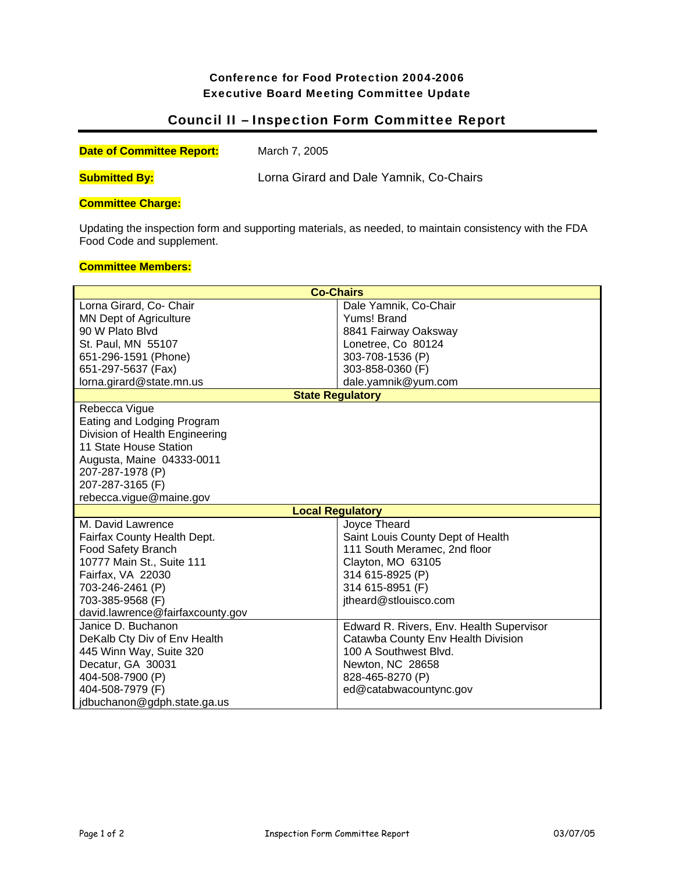## Conference for Food Protection 2004-2006 Executive Board Meeting Committee Update

# Council II – Inspection Form Committee Report

| <b>Date of Committee Report:</b> | March 7, 2005                           |
|----------------------------------|-----------------------------------------|
| <b>Submitted By:</b>             | Lorna Girard and Dale Yamnik, Co-Chairs |

### **Committee Charge:**

Updating the inspection form and supporting materials, as needed, to maintain consistency with the FDA Food Code and supplement.

#### **Committee Members:**

| <b>Co-Chairs</b>                                                                                                                                                                                        |                                          |  |
|---------------------------------------------------------------------------------------------------------------------------------------------------------------------------------------------------------|------------------------------------------|--|
| Lorna Girard, Co- Chair                                                                                                                                                                                 | Dale Yamnik, Co-Chair                    |  |
| <b>MN Dept of Agriculture</b>                                                                                                                                                                           | Yums! Brand                              |  |
| 90 W Plato Blvd                                                                                                                                                                                         | 8841 Fairway Oaksway                     |  |
| St. Paul, MN 55107                                                                                                                                                                                      | Lonetree, Co 80124                       |  |
| 651-296-1591 (Phone)                                                                                                                                                                                    | 303-708-1536 (P)                         |  |
| 651-297-5637 (Fax)                                                                                                                                                                                      | 303-858-0360 (F)                         |  |
| lorna.girard@state.mn.us                                                                                                                                                                                | dale.yamnik@yum.com                      |  |
| <b>State Regulatory</b>                                                                                                                                                                                 |                                          |  |
| Rebecca Vigue<br>Eating and Lodging Program<br>Division of Health Engineering<br>11 State House Station<br>Augusta, Maine 04333-0011<br>207-287-1978 (P)<br>207-287-3165 (F)<br>rebecca.vigue@maine.gov |                                          |  |
| <b>Local Regulatory</b>                                                                                                                                                                                 |                                          |  |
| M. David Lawrence                                                                                                                                                                                       | Joyce Theard                             |  |
| Fairfax County Health Dept.                                                                                                                                                                             | Saint Louis County Dept of Health        |  |
| <b>Food Safety Branch</b>                                                                                                                                                                               | 111 South Meramec, 2nd floor             |  |
| 10777 Main St., Suite 111                                                                                                                                                                               | Clayton, MO 63105                        |  |
| Fairfax, VA 22030                                                                                                                                                                                       | 314 615-8925 (P)                         |  |
| 703-246-2461 (P)                                                                                                                                                                                        | 314 615-8951 (F)                         |  |
| 703-385-9568 (F)                                                                                                                                                                                        | jtheard@stlouisco.com                    |  |
| david.lawrence@fairfaxcounty.gov                                                                                                                                                                        |                                          |  |
| Janice D. Buchanon                                                                                                                                                                                      | Edward R. Rivers, Env. Health Supervisor |  |
| DeKalb Cty Div of Env Health                                                                                                                                                                            | Catawba County Env Health Division       |  |
| 445 Winn Way, Suite 320                                                                                                                                                                                 | 100 A Southwest Blvd.                    |  |
| Decatur, GA 30031                                                                                                                                                                                       | Newton, NC 28658                         |  |
| 404-508-7900 (P)                                                                                                                                                                                        | 828-465-8270 (P)                         |  |
| 404-508-7979 (F)                                                                                                                                                                                        | ed@catabwacountync.gov                   |  |
| jdbuchanon@gdph.state.ga.us                                                                                                                                                                             |                                          |  |